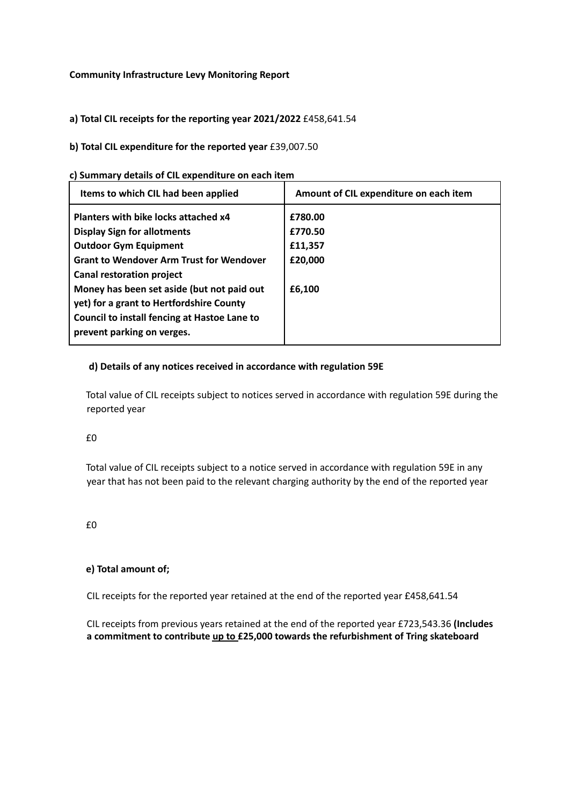## **Community Infrastructure Levy Monitoring Report**

**a) Total CIL receipts for the reporting year 2021/2022** £458,641.54

## **b) Total CIL expenditure for the reported year** £39,007.50

|  |  |  |  | c) Summary details of CIL expenditure on each item |  |  |
|--|--|--|--|----------------------------------------------------|--|--|
|--|--|--|--|----------------------------------------------------|--|--|

| Items to which CIL had been applied                                                                                                                                                                                                                                                                                                                                       | Amount of CIL expenditure on each item             |
|---------------------------------------------------------------------------------------------------------------------------------------------------------------------------------------------------------------------------------------------------------------------------------------------------------------------------------------------------------------------------|----------------------------------------------------|
| Planters with bike locks attached x4<br><b>Display Sign for allotments</b><br><b>Outdoor Gym Equipment</b><br><b>Grant to Wendover Arm Trust for Wendover</b><br><b>Canal restoration project</b><br>Money has been set aside (but not paid out<br>yet) for a grant to Hertfordshire County<br>Council to install fencing at Hastoe Lane to<br>prevent parking on verges. | £780.00<br>£770.50<br>£11,357<br>£20,000<br>£6.100 |

## **d) Details of any notices received in accordance with regulation 59E**

Total value of CIL receipts subject to notices served in accordance with regulation 59E during the reported year

£0

Total value of CIL receipts subject to a notice served in accordance with regulation 59E in any year that has not been paid to the relevant charging authority by the end of the reported year

 $f(0)$ 

## **e) Total amount of;**

CIL receipts for the reported year retained at the end of the reported year £458,641.54

CIL receipts from previous years retained at the end of the reported year £723,543.36 **(Includes a commitment to contribute up to £25,000 towards the refurbishment of Tring skateboard**